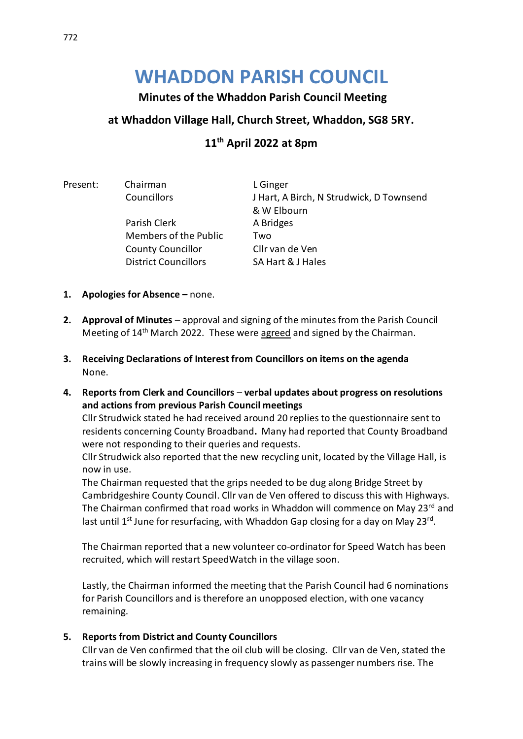# **WHADDON PARISH COUNCIL**

# **Minutes of the Whaddon Parish Council Meeting**

### **at Whaddon Village Hall, Church Street, Whaddon, SG8 5RY.**

# **11 th April 2022 at 8pm**

Present: Chairman L Ginger

Parish Clerk A Bridges Members of the Public Two County Councillor Cllr van de Ven District Councillors SA Hart & J Hales

Councillors J Hart, A Birch, N Strudwick, D Townsend & W Elbourn

- **1. Apologies for Absence –** none.
- **2. Approval of Minutes** approval and signing of the minutes from the Parish Council Meeting of 14<sup>th</sup> March 2022. These were agreed and signed by the Chairman.
- **3. Receiving Declarations of Interest from Councillors on items on the agenda** None.
- **4. Reports from Clerk and Councillors verbal updates about progress on resolutions and actions from previous Parish Council meetings**

Cllr Strudwick stated he had received around 20 replies to the questionnaire sent to residents concerning County Broadband**.** Many had reported that County Broadband were not responding to their queries and requests.

Cllr Strudwick also reported that the new recycling unit, located by the Village Hall, is now in use.

The Chairman requested that the grips needed to be dug along Bridge Street by Cambridgeshire County Council. Cllr van de Ven offered to discuss this with Highways. The Chairman confirmed that road works in Whaddon will commence on May 23rd and last until 1<sup>st</sup> June for resurfacing, with Whaddon Gap closing for a day on May 23<sup>rd</sup>.

The Chairman reported that a new volunteer co-ordinator for Speed Watch has been recruited, which will restart SpeedWatch in the village soon.

Lastly, the Chairman informed the meeting that the Parish Council had 6 nominations for Parish Councillors and is therefore an unopposed election, with one vacancy remaining.

#### **5. Reports from District and County Councillors**

Cllr van de Ven confirmed that the oil club will be closing. Cllr van de Ven, stated the trains will be slowly increasing in frequency slowly as passenger numbers rise. The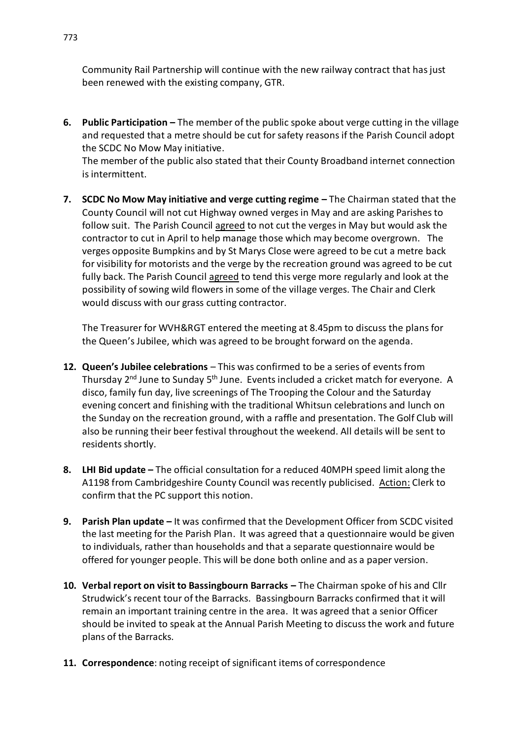Community Rail Partnership will continue with the new railway contract that has just been renewed with the existing company, GTR.

**6. Public Participation –** The member of the public spoke about verge cutting in the village and requested that a metre should be cut for safety reasons if the Parish Council adopt the SCDC No Mow May initiative.

The member of the public also stated that their County Broadband internet connection is intermittent.

**7. SCDC No Mow May initiative and verge cutting regime –** The Chairman stated that the County Council will not cut Highway owned verges in May and are asking Parishes to follow suit. The Parish Council agreed to not cut the verges in May but would ask the contractor to cut in April to help manage those which may become overgrown. The verges opposite Bumpkins and by St Marys Close were agreed to be cut a metre back for visibility for motorists and the verge by the recreation ground was agreed to be cut fully back. The Parish Council agreed to tend this verge more regularly and look at the possibility of sowing wild flowers in some of the village verges. The Chair and Clerk would discuss with our grass cutting contractor.

The Treasurer for WVH&RGT entered the meeting at 8.45pm to discuss the plans for the Queen's Jubilee, which was agreed to be brought forward on the agenda.

- **12. Queen's Jubilee celebrations** This was confirmed to be a series of eventsfrom Thursday 2<sup>nd</sup> June to Sunday 5<sup>th</sup> June. Events included a cricket match for everyone. A disco, family fun day, live screenings of The Trooping the Colour and the Saturday evening concert and finishing with the traditional Whitsun celebrations and lunch on the Sunday on the recreation ground, with a raffle and presentation. The Golf Club will also be running their beer festival throughout the weekend. All details will be sent to residents shortly.
- **8. LHI Bid update –** The official consultation for a reduced 40MPH speed limit along the A1198 from Cambridgeshire County Council was recently publicised. Action: Clerk to confirm that the PC support this notion.
- **9. Parish Plan update –** It was confirmed that the Development Officer from SCDC visited the last meeting for the Parish Plan. It was agreed that a questionnaire would be given to individuals, rather than households and that a separate questionnaire would be offered for younger people. This will be done both online and as a paper version.
- **10. Verbal report on visit to Bassingbourn Barracks –** The Chairman spoke of his and Cllr Strudwick's recent tour of the Barracks. Bassingbourn Barracks confirmed that it will remain an important training centre in the area. It was agreed that a senior Officer should be invited to speak at the Annual Parish Meeting to discuss the work and future plans of the Barracks.
- **11. Correspondence**: noting receipt of significant items of correspondence